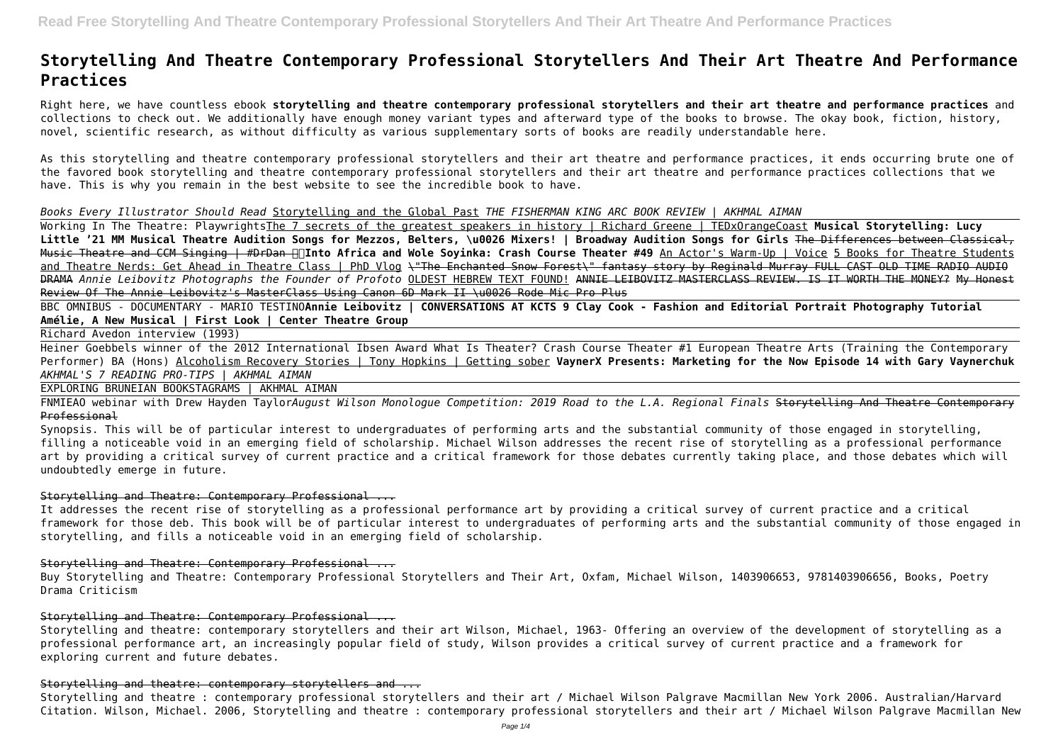# **Storytelling And Theatre Contemporary Professional Storytellers And Their Art Theatre And Performance Practices**

Right here, we have countless ebook **storytelling and theatre contemporary professional storytellers and their art theatre and performance practices** and collections to check out. We additionally have enough money variant types and afterward type of the books to browse. The okay book, fiction, history, novel, scientific research, as without difficulty as various supplementary sorts of books are readily understandable here.

As this storytelling and theatre contemporary professional storytellers and their art theatre and performance practices, it ends occurring brute one of the favored book storytelling and theatre contemporary professional storytellers and their art theatre and performance practices collections that we have. This is why you remain in the best website to see the incredible book to have.

Heiner Goebbels winner of the 2012 International Ibsen Award What Is Theater? Crash Course Theater #1 European Theatre Arts (Training the Contemporary Performer) BA (Hons) Alcoholism Recovery Stories | Tony Hopkins | Getting sober **VaynerX Presents: Marketing for the Now Episode 14 with Gary Vaynerchuk** *AKHMAL'S 7 READING PRO-TIPS | AKHMAL AIMAN*

*Books Every Illustrator Should Read* Storytelling and the Global Past *THE FISHERMAN KING ARC BOOK REVIEW | AKHMAL AIMAN* Working In The Theatre: PlaywrightsThe 7 secrets of the greatest speakers in history | Richard Greene | TEDxOrangeCoast **Musical Storytelling: Lucy Little '21 MM Musical Theatre Audition Songs for Mezzos, Belters, \u0026 Mixers! | Broadway Audition Songs for Girls** The Differences between Classical, Music Theatre and CCM Singing | #DrDan **Into Africa and Wole Soyinka: Crash Course Theater #49** An Actor's Warm-Up | Voice 5 Books for Theatre Students and Theatre Nerds: Get Ahead in Theatre Class | PhD Vlog \"The Enchanted Snow Forest\" fantasy story by Reginald Murray FULL CAST OLD TIME RADIO AUDIO DRAMA *Annie Leibovitz Photographs the Founder of Profoto* OLDEST HEBREW TEXT FOUND! ANNIE LEIBOVITZ MASTERCLASS REVIEW. IS IT WORTH THE MONEY? My Honest Review Of The Annie Leibovitz's MasterClass Using Canon 6D Mark II \u0026 Rode Mic Pro Plus

BBC OMNIBUS - DOCUMENTARY - MARIO TESTINO**Annie Leibovitz | CONVERSATIONS AT KCTS 9 Clay Cook - Fashion and Editorial Portrait Photography Tutorial Amélie, A New Musical | First Look | Center Theatre Group**

Richard Avedon interview (1993)

EXPLORING BRUNEIAN BOOKSTAGRAMS | AKHMAL AIMAN

FNMIEAO webinar with Drew Hayden Taylor*August Wilson Monologue Competition: 2019 Road to the L.A. Regional Finals* Storytelling And Theatre Contemporary Professional

Synopsis. This will be of particular interest to undergraduates of performing arts and the substantial community of those engaged in storytelling, filling a noticeable void in an emerging field of scholarship. Michael Wilson addresses the recent rise of storytelling as a professional performance art by providing a critical survey of current practice and a critical framework for those debates currently taking place, and those debates which will undoubtedly emerge in future.

## Storytelling and Theatre: Contemporary Professional ...

It addresses the recent rise of storytelling as a professional performance art by providing a critical survey of current practice and a critical framework for those deb. This book will be of particular interest to undergraduates of performing arts and the substantial community of those engaged in storytelling, and fills a noticeable void in an emerging field of scholarship.

# Storytelling and Theatre: Contemporary Professional ...

Buy Storytelling and Theatre: Contemporary Professional Storytellers and Their Art, Oxfam, Michael Wilson, 1403906653, 9781403906656, Books, Poetry Drama Criticism

# Storytelling and Theatre: Contemporary Professional ...

Storytelling and theatre: contemporary storytellers and their art Wilson, Michael, 1963- Offering an overview of the development of storytelling as a professional performance art, an increasingly popular field of study, Wilson provides a critical survey of current practice and a framework for exploring current and future debates.

## Storytelling and theatre: contemporary storytellers and ...

Storytelling and theatre : contemporary professional storytellers and their art / Michael Wilson Palgrave Macmillan New York 2006. Australian/Harvard Citation. Wilson, Michael. 2006, Storytelling and theatre : contemporary professional storytellers and their art / Michael Wilson Palgrave Macmillan New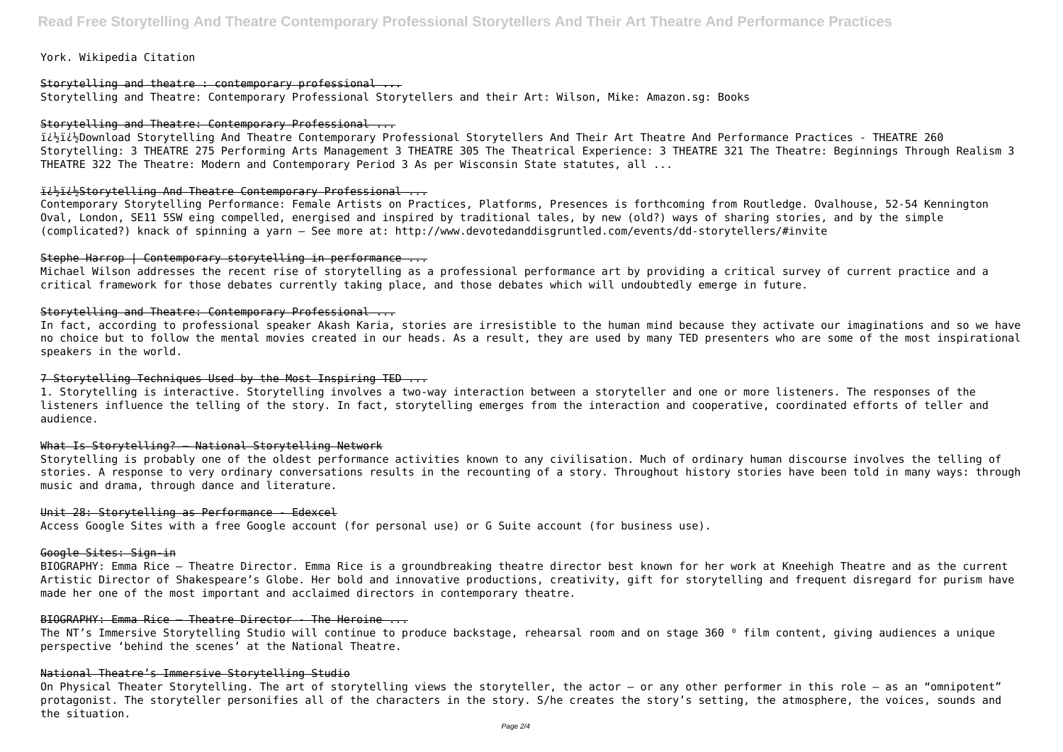York. Wikipedia Citation

# Storytelling and theatre : contemporary professional ...

Storytelling and Theatre: Contemporary Professional Storytellers and their Art: Wilson, Mike: Amazon.sg: Books

## Storytelling and Theatre: Contemporary Professional ...

ii<sup>1</sup> Elith Download Storytelling And Theatre Contemporary Professional Storytellers And Their Art Theatre And Performance Practices - THEATRE 260 Storytelling: 3 THEATRE 275 Performing Arts Management 3 THEATRE 305 The Theatrical Experience: 3 THEATRE 321 The Theatre: Beginnings Through Realism 3 THEATRE 322 The Theatre: Modern and Contemporary Period 3 As per Wisconsin State statutes, all ...

# ithithstorytelling And Theatre Contemporary Professional ...

Contemporary Storytelling Performance: Female Artists on Practices, Platforms, Presences is forthcoming from Routledge. Ovalhouse, 52-54 Kennington Oval, London, SE11 5SW eing compelled, energised and inspired by traditional tales, by new (old?) ways of sharing stories, and by the simple (complicated?) knack of spinning a yarn – See more at: http://www.devotedanddisgruntled.com/events/dd-storytellers/#invite

## Stephe Harrop | Contemporary storytelling in performance ...

Michael Wilson addresses the recent rise of storytelling as a professional performance art by providing a critical survey of current practice and a critical framework for those debates currently taking place, and those debates which will undoubtedly emerge in future.

# Storytelling and Theatre: Contemporary Professional ...

The NT's Immersive Storytelling Studio will continue to produce backstage, rehearsal room and on stage 360 ° film content, giving audiences a unique perspective 'behind the scenes' at the National Theatre.

In fact, according to professional speaker Akash Karia, stories are irresistible to the human mind because they activate our imaginations and so we have no choice but to follow the mental movies created in our heads. As a result, they are used by many TED presenters who are some of the most inspirational speakers in the world.

# 7 Storvtelling Techniques Used by the Most Inspiring TED ...

1. Storytelling is interactive. Storytelling involves a two-way interaction between a storyteller and one or more listeners. The responses of the listeners influence the telling of the story. In fact, storytelling emerges from the interaction and cooperative, coordinated efforts of teller and audience.

## What Is Storytelling? – National Storytelling Network

Storytelling is probably one of the oldest performance activities known to any civilisation. Much of ordinary human discourse involves the telling of stories. A response to very ordinary conversations results in the recounting of a story. Throughout history stories have been told in many ways: through music and drama, through dance and literature.

## Unit 28: Storytelling as Performance - Edexcel

Access Google Sites with a free Google account (for personal use) or G Suite account (for business use).

## Google Sites: Sign-in

BIOGRAPHY: Emma Rice – Theatre Director. Emma Rice is a groundbreaking theatre director best known for her work at Kneehigh Theatre and as the current Artistic Director of Shakespeare's Globe. Her bold and innovative productions, creativity, gift for storytelling and frequent disregard for purism have made her one of the most important and acclaimed directors in contemporary theatre.

# BIOGRAPHY: Emma Rice - Theatre Director - The Heroine ...

# National Theatre's Immersive Storytelling Studio

On Physical Theater Storytelling. The art of storytelling views the storyteller, the actor – or any other performer in this role – as an "omnipotent" protagonist. The storyteller personifies all of the characters in the story. S/he creates the story's setting, the atmosphere, the voices, sounds and the situation.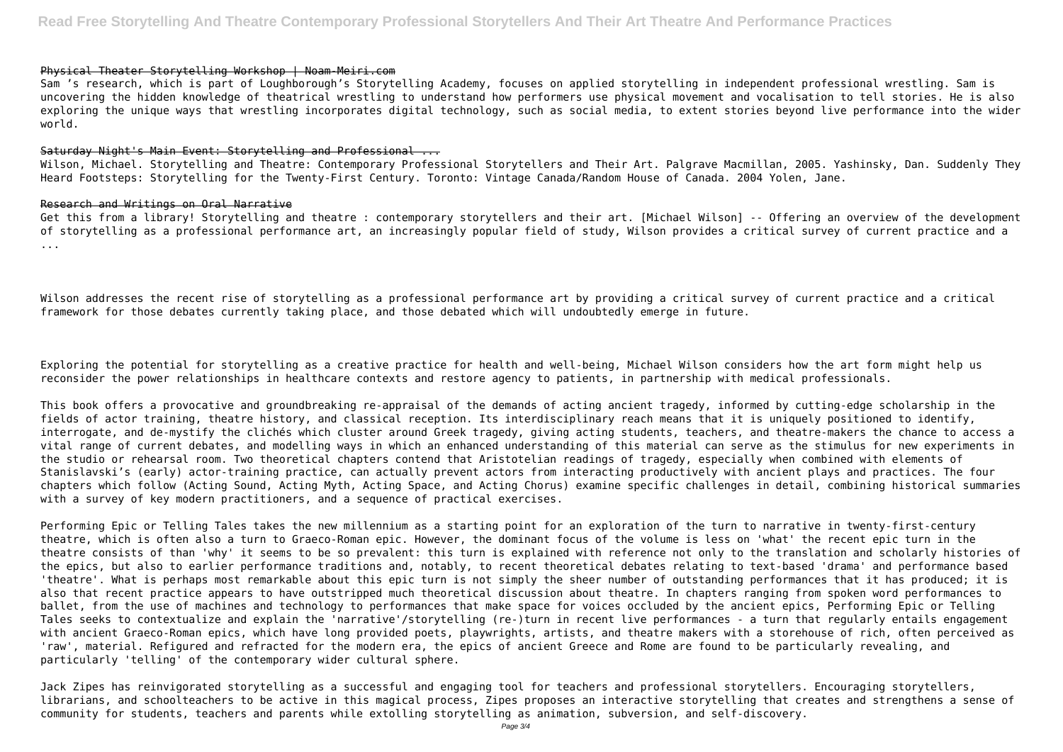## Physical Theater Storytelling Workshop | Noam-Meiri.com

Sam 's research, which is part of Loughborough's Storytelling Academy, focuses on applied storytelling in independent professional wrestling. Sam is uncovering the hidden knowledge of theatrical wrestling to understand how performers use physical movement and vocalisation to tell stories. He is also exploring the unique ways that wrestling incorporates digital technology, such as social media, to extent stories beyond live performance into the wider world.

## Saturday Night's Main Event: Storytelling and Professional ...

Wilson addresses the recent rise of storytelling as a professional performance art by providing a critical survey of current practice and a critical framework for those debates currently taking place, and those debated which will undoubtedly emerge in future.

Wilson, Michael. Storytelling and Theatre: Contemporary Professional Storytellers and Their Art. Palgrave Macmillan, 2005. Yashinsky, Dan. Suddenly They Heard Footsteps: Storytelling for the Twenty-First Century. Toronto: Vintage Canada/Random House of Canada. 2004 Yolen, Jane.

## Research and Writings on Oral Narrative

Get this from a library! Storytelling and theatre : contemporary storytellers and their art. [Michael Wilson] -- Offering an overview of the development of storytelling as a professional performance art, an increasingly popular field of study, Wilson provides a critical survey of current practice and a ...

Exploring the potential for storytelling as a creative practice for health and well-being, Michael Wilson considers how the art form might help us reconsider the power relationships in healthcare contexts and restore agency to patients, in partnership with medical professionals.

This book offers a provocative and groundbreaking re-appraisal of the demands of acting ancient tragedy, informed by cutting-edge scholarship in the fields of actor training, theatre history, and classical reception. Its interdisciplinary reach means that it is uniquely positioned to identify, interrogate, and de-mystify the clichés which cluster around Greek tragedy, giving acting students, teachers, and theatre-makers the chance to access a vital range of current debates, and modelling ways in which an enhanced understanding of this material can serve as the stimulus for new experiments in the studio or rehearsal room. Two theoretical chapters contend that Aristotelian readings of tragedy, especially when combined with elements of Stanislavski's (early) actor-training practice, can actually prevent actors from interacting productively with ancient plays and practices. The four chapters which follow (Acting Sound, Acting Myth, Acting Space, and Acting Chorus) examine specific challenges in detail, combining historical summaries with a survey of key modern practitioners, and a sequence of practical exercises.

Performing Epic or Telling Tales takes the new millennium as a starting point for an exploration of the turn to narrative in twenty-first-century theatre, which is often also a turn to Graeco-Roman epic. However, the dominant focus of the volume is less on 'what' the recent epic turn in the theatre consists of than 'why' it seems to be so prevalent: this turn is explained with reference not only to the translation and scholarly histories of the epics, but also to earlier performance traditions and, notably, to recent theoretical debates relating to text-based 'drama' and performance based 'theatre'. What is perhaps most remarkable about this epic turn is not simply the sheer number of outstanding performances that it has produced; it is also that recent practice appears to have outstripped much theoretical discussion about theatre. In chapters ranging from spoken word performances to ballet, from the use of machines and technology to performances that make space for voices occluded by the ancient epics, Performing Epic or Telling Tales seeks to contextualize and explain the 'narrative'/storytelling (re-)turn in recent live performances - a turn that regularly entails engagement with ancient Graeco-Roman epics, which have long provided poets, playwrights, artists, and theatre makers with a storehouse of rich, often perceived as 'raw', material. Refigured and refracted for the modern era, the epics of ancient Greece and Rome are found to be particularly revealing, and particularly 'telling' of the contemporary wider cultural sphere.

Jack Zipes has reinvigorated storytelling as a successful and engaging tool for teachers and professional storytellers. Encouraging storytellers, librarians, and schoolteachers to be active in this magical process, Zipes proposes an interactive storytelling that creates and strengthens a sense of community for students, teachers and parents while extolling storytelling as animation, subversion, and self-discovery.